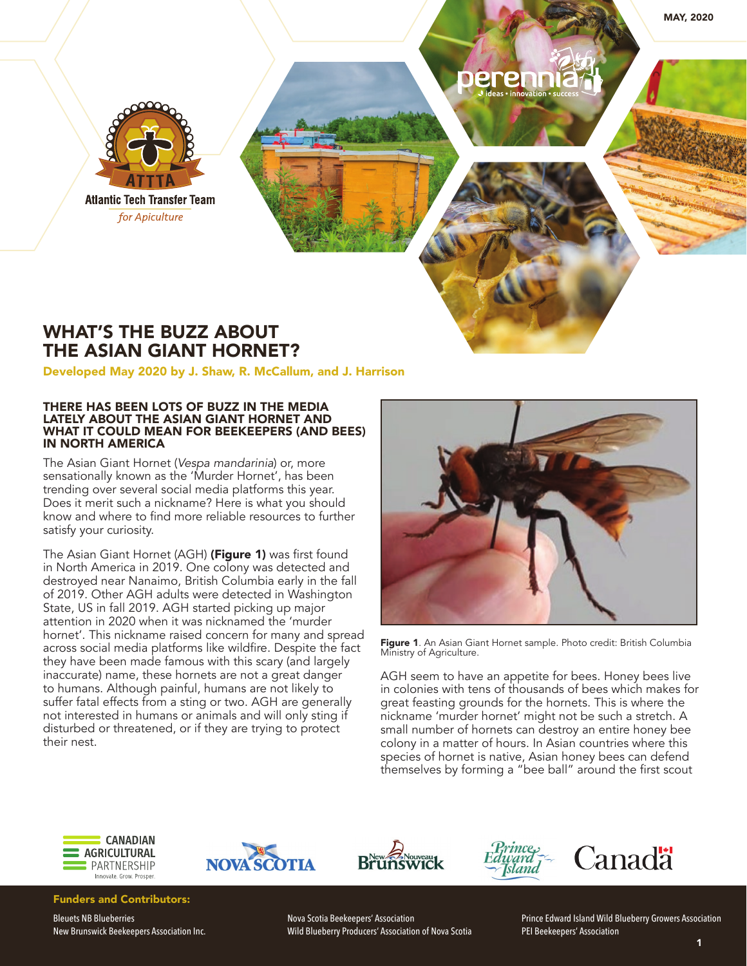

## WHAT'S THE BUZZ ABOUT THE ASIAN GIANT HORNET?

Developed May 2020 by J. Shaw, R. McCallum, and J. Harrison

## THERE HAS BEEN LOTS OF BUZZ IN THE MEDIA LATELY ABOUT THE ASIAN GIANT HORNET AND WHAT IT COULD MEAN FOR BEEKEEPERS (AND BEES) IN NORTH AMERICA

The Asian Giant Hornet (*Vespa mandarinia*) or, more sensationally known as the 'Murder Hornet', has been trending over several social media platforms this year. Does it merit such a nickname? Here is what you should know and where to find more reliable resources to further satisfy your curiosity.

The Asian Giant Hornet (AGH) (Figure 1) was first found in North America in 2019. One colony was detected and destroyed near Nanaimo, British Columbia early in the fall of 2019. Other AGH adults were detected in Washington State, US in fall 2019. AGH started picking up major attention in 2020 when it was nicknamed the 'murder hornet'. This nickname raised concern for many and spread across social media platforms like wildfire. Despite the fact they have been made famous with this scary (and largely inaccurate) name, these hornets are not a great danger to humans. Although painful, humans are not likely to suffer fatal effects from a sting or two. AGH are generally not interested in humans or animals and will only sting if disturbed or threatened, or if they are trying to protect their nest.



Figure 1. An Asian Giant Hornet sample. Photo credit: British Columbia Ministry of Agriculture.

AGH seem to have an appetite for bees. Honey bees live in colonies with tens of thousands of bees which makes for great feasting grounds for the hornets. This is where the nickname 'murder hornet' might not be such a stretch. A small number of hornets can destroy an entire honey bee colony in a matter of hours. In Asian countries where this species of hornet is native, Asian honey bees can defend themselves by forming a "bee ball" around the first scout



NOVA SCOTIA





Funders and Contributors:

Bleuets NB Blueberries New Brunswick Beekeepers Association Inc. Nova Scotia Beekeepers' Association Wild Blueberry Producers' Association of Nova Scotia Prince Edward Island Wild Blueberry Growers Association PEI Beekeepers' Association